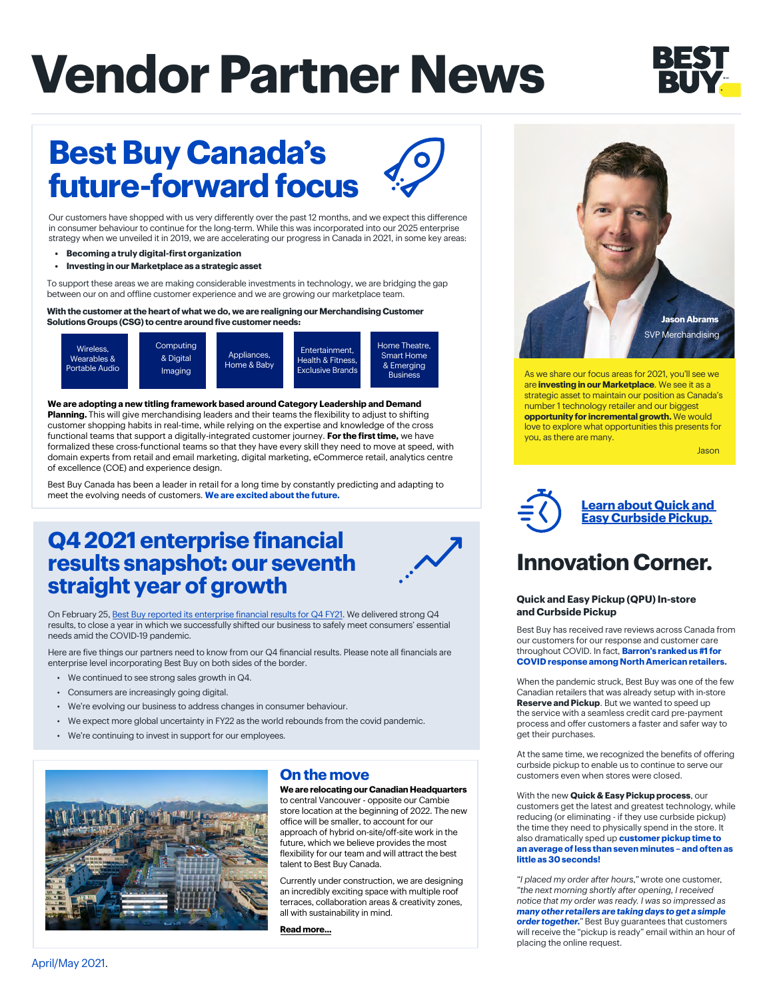# **Vendor Partner News**



## **Best Buy Canada's future-forward focus**

Our customers have shopped with us very differently over the past 12 months, and we expect this difference in consumer behaviour to continue for the long-term. While this was incorporated into our 2025 enterprise strategy when we unveiled it in 2019, we are accelerating our progress in Canada in 2021, in some key areas:

- **Becoming a truly digital-first organization**
- **• Investing in our Marketplace as a strategic asset**

To support these areas we are making considerable investments in technology, we are bridging the gap between our on and offline customer experience and we are growing our marketplace team.

**With the customer at the heart of what we do, we are realigning our Merchandising Customer Solutions Groups (CSG) to centre around five customer needs:**



**We are adopting a new titling framework based around Category Leadership and Demand Planning.** This will give merchandising leaders and their teams the flexibility to adjust to shifting customer shopping habits in real-time, while relying on the expertise and knowledge of the cross functional teams that support a digitally-integrated customer journey. **For the first time,** we have formalized these cross-functional teams so that they have every skill they need to move at speed, with domain experts from retail and email marketing, digital marketing, eCommerce retail, analytics centre of excellence (COE) and experience design.

Best Buy Canada has been a leader in retail for a long time by constantly predicting and adapting to meet the evolving needs of customers. **We are excited about the future.**

## **Q4 2021 enterprise financial results snapshot: our seventh straight year of growth**

On February 25, [Best Buy reported its enterprise financial results for Q4 FY21](https://corporate.bestbuy.com/best-buy-reports-q4fy21-results/ ). We delivered strong Q4 results, to close a year in which we successfully shifted our business to safely meet consumers' essential needs amid the COVID-19 pandemic.

Here are five things our partners need to know from our Q4 financial results. Please note all financials are enterprise level incorporating Best Buy on both sides of the border.

- We continued to see strong sales growth in Q4.
- Consumers are increasingly going digital.
- We're evolving our business to address changes in consumer behaviour.
- We expect more global uncertainty in FY22 as the world rebounds from the covid pandemic.
- We're continuing to invest in support for our employees.



### **On the move**

**We are relocating our Canadian Headquarters** to central Vancouver - opposite our Cambie store location at the beginning of 2022. The new office will be smaller, to account for our approach of hybrid on-site/off-site work in the future, which we believe provides the most flexibility for our team and will attract the best talent to Best Buy Canada.

Currently under construction, we are designing an incredibly exciting space with multiple roof terraces, collaboration areas & creativity zones, all with sustainability in mind.

**[Read more...](https://dailyhive.com/vancouver/best-buy-canada-headquarters-vancouver-425-west-6th-avenue)**



As we share our focus areas for 2021, you'll see we are **investing in our Marketplace**. We see it as a strategic asset to maintain our position as Canada's number 1 technology retailer and our biggest **opportunity for incremental growth.** We would love to explore what opportunities this presents for you, as there are many.

Jason



### **[Learn about Quick and](https://www.youtube.com/watch?v=LeZL6lVtJtw)  [Easy Curbside Pickup.](https://www.youtube.com/watch?v=LeZL6lVtJtw)**

## **Innovation Corner.**

#### **Quick and Easy Pickup (QPU) In-store and Curbside Pickup**

Best Buy has received rave reviews across Canada from our customers for our response and customer care throughout COVID. In fact, **Barron's ranked us #1 for COVID response among North American retailers.**

When the pandemic struck, Best Buy was one of the few Canadian retailers that was already setup with in-store **Reserve and Pickup**. But we wanted to speed up the service with a seamless credit card pre-payment process and offer customers a faster and safer way to get their purchases.

At the same time, we recognized the benefits of offering curbside pickup to enable us to continue to serve our customers even when stores were closed.

With the new **Quick & Easy Pickup process**, our customers get the latest and greatest technology, while reducing (or eliminating - if they use curbside pickup) the time they need to physically spend in the store. It also dramatically sped up **customer pickup time to an average of less than seven minutes – and often as little as 30 seconds!**

*"I placed my order after hours,"* wrote one customer, *"the next morning shortly after opening, I received notice that my order was ready. I was so impressed as many other retailers are taking days to get a simple order together."* Best Buy guarantees that customers will receive the "pickup is ready" email within an hour of placing the online request.

April/May 2021.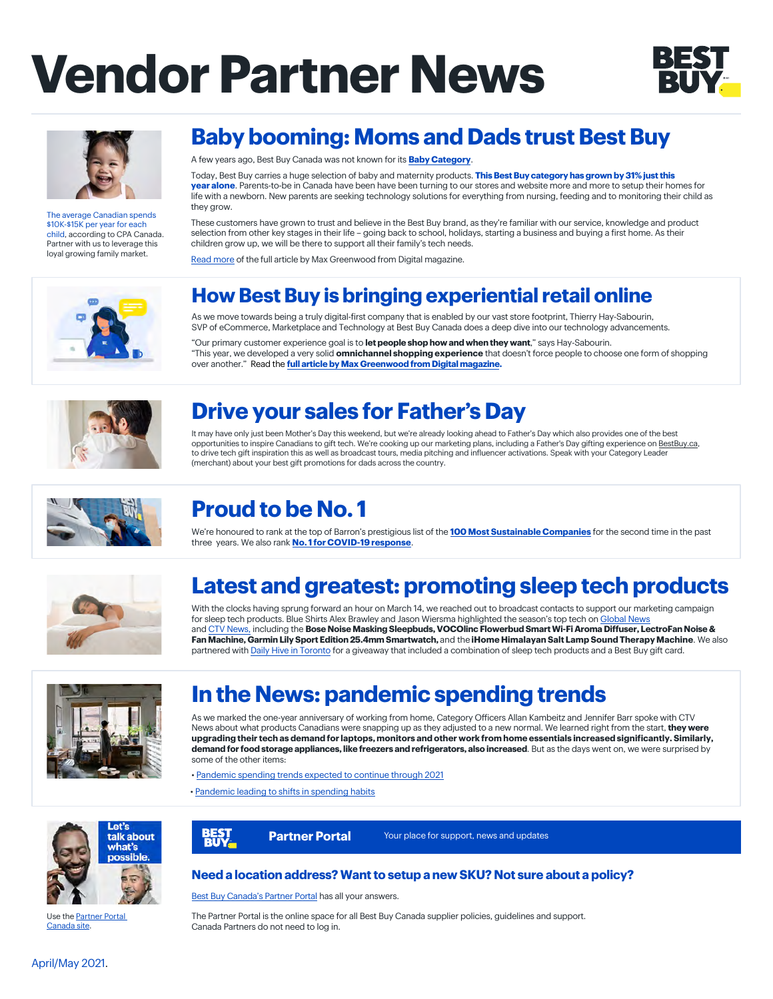# **Vendor Partner News**





The average Canadian spends \$10K-\$15K per year for each child, according to CPA Canada. Partner with us to leverage this loyal growing family market.

## **Baby booming: Moms and Dads trust Best Buy**

A few years ago, Best Buy Canada was not known for its **[Baby Category](https://www.bestbuy.ca/en-ca/category/baby-maternity/881392)**.

Today, Best Buy carries a huge selection of baby and maternity products. **This Best Buy category has grown by 31% just this year alone**. Parents-to-be in Canada have been have been turning to our stores and website more and more to setup their homes for life with a newborn. New parents are seeking technology solutions for everything from nursing, feeding and to monitoring their child as they grow.

These customers have grown to trust and believe in the Best Buy brand, as they're familiar with our service, knowledge and product selection from other key stages in their life – going back to school, holidays, starting a business and buying a first home. As their children grow up, we will be there to support all their family's tech needs.

[Read more](https://www.borndigital.com/2021/01/20/this-is-how-best-buy-is-bringing-experiential-retail-online) of the full article by Max Greenwood from Digital magazine.



## **How Best Buy is bringing experiential retail online**

As we move towards being a truly digital-first company that is enabled by our vast store footprint, Thierry Hay-Sabourin, SVP of eCommerce, Marketplace and Technology at Best Buy Canada does a deep dive into our technology advancements.

"Our primary customer experience goal is to **let people shop how and when they want**," says Hay-Sabourin. "This year, we developed a very solid **omnichannel shopping experience** that doesn't force people to choose one form of shopping over another." Read the **[full article by Max Greenwood from Digital magazine.](https://www.borndigital.com/2021/01/20/this-is-how-best-buy-is-bringing-experiential-retail-online)**



## **Drive your sales for Father's Day**

It may have only just been Mother's Day this weekend, but we're already looking ahead to Father's Day which also provides one of the best opportunities to inspire Canadians to gift tech. We're cooking up our marketing plans, including a Father's Day gifting experience on [BestBuy.ca,](https://www.bestbuy.ca/en-ca/event/fathers-day-gifts/blt3a2da0deddd7681c) to drive tech gift inspiration this as well as broadcast tours, media pitching and influencer activations. Speak with your Category Leader (merchant) about your best gift promotions for dads across the country.



## **Proud to be No. 1**

We're honoured to rank at the top of Barron's prestigious list of the **[100 Most Sustainable Companies](https://corporate.bestbuy.com/best-buy-tops-barrons-list-of-100-most-sustainable-companies/)** for the second time in the past three years. We also rank **No. [1 for COVID-19 response](https://www.barrons.com/articles/here-are-the-leading-companies-on-gender-and-racial-diversity-climate-and-covid-19-response-51613751153)**.



## **Latest and greatest: promoting sleep tech products**

With the clocks having sprung forward an hour on March 14, we reached out to broadcast contacts to support our marketing campaign for sleep tech products. Blue Shirts Alex Brawley and Jason Wiersma highlighted the season's top tech on [Global News](https://globalnews.ca/video/7685419/spring-forward-with-the-right-sleep-tech) and [CTV News,](https://bc.ctvnews.ca/video?clipId=2159503&jwsource=em) including the **Bose Noise Masking Sleepbuds, VOCOlinc Flowerbud Smart Wi-Fi Aroma Diffuser, LectroFan Noise & Fan Machine, Garmin Lily Sport Edition 25.4mm Smartwatch,** and the **iHome Himalayan Salt Lamp Sound Therapy Machine**. We also partnered with [Daily Hive in Toronto](https://www.instagram.com/p/CMLVUZGgyrQ/?utm_source=ig_web_copy_link ) for a giveaway that included a combination of sleep tech products and a Best Buy gift card.



## **In the News: pandemic spending trends**

As we marked the one-year anniversary of working from home, Category Officers Allan Kambeitz and Jennifer Barr spoke with CTV News about what products Canadians were snapping up as they adjusted to a new normal. We learned right from the start, **they were upgrading their tech as demand for laptops, monitors and other work from home essentials increased significantly. Similarly, demand for food storage appliances, like freezers and refrigerators, also increased**. But as the days went on, we were surprised by some of the other items:

• [Pandemic spending trends expected to continue through 2021](https://toronto.ctvnews.ca/pandemic-spending-trends-expected-to-continue-through-2021-1.5344059)

• [Pandemic leading to shifts in spending habits](https://bc.ctvnews.ca/pandemic-leading-to-shifts-in-spending-habits-1.5344098%20)

**BEST** 



[Use the Part](https://partners.bestbuy.com/canada)ner Portal Canada site.



**Partner Portal** Your place for support, news and updates

[Best Buy Canada's Partner Portal](https://partners.bestbuy.com/canada ) has all your answers.

The Partner Portal is the online space for all Best Buy Canada supplier policies, guidelines and support. Canada Partners do not need to log in.